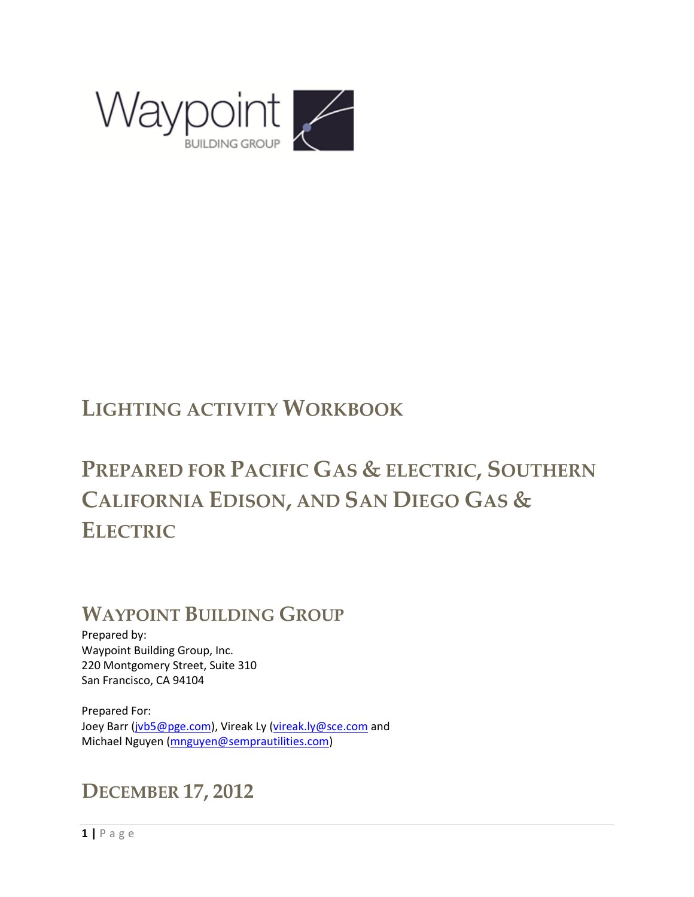

# **LIGHTING ACTIVITY WORKBOOK**

# **PREPARED FOR PACIFIC GAS & ELECTRIC, SOUTHERN CALIFORNIA EDISON, AND SAN DIEGO GAS & ELECTRIC**

## **WAYPOINT BUILDING GROUP**

Prepared by: Waypoint Building Group, Inc. 220 Montgomery Street, Suite 310 San Francisco, CA 94104

Prepared For: Joey Barr [\(jvb5@pge.com\)](mailto:jvb5@pge.com), Vireak Ly [\(vireak.ly@sce.com](mailto:vireak.ly@sce.com) and Michael Nguyen [\(mnguyen@semprautilities.com\)](mailto:mnguyen@semprautilities.com)

## **DECEMBER 17, 2012**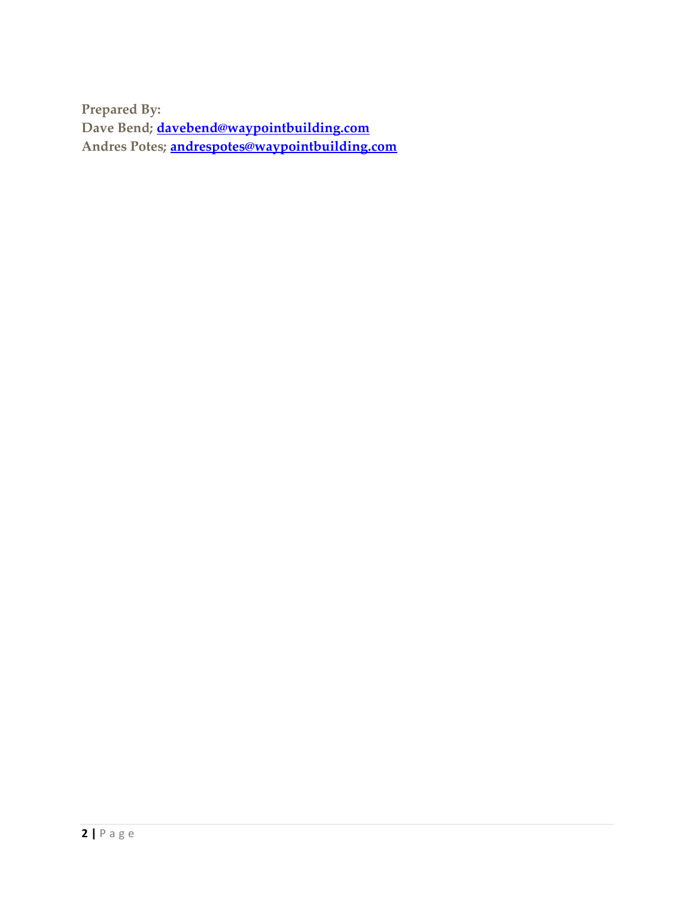**Prepared By: Dave Bend; [davebend@waypointbuilding.com](mailto:davebend@waypointbuilding.com) Andres Potes; [andrespotes@waypointbuilding.com](mailto:andrespotes@waypointbuilding.com)**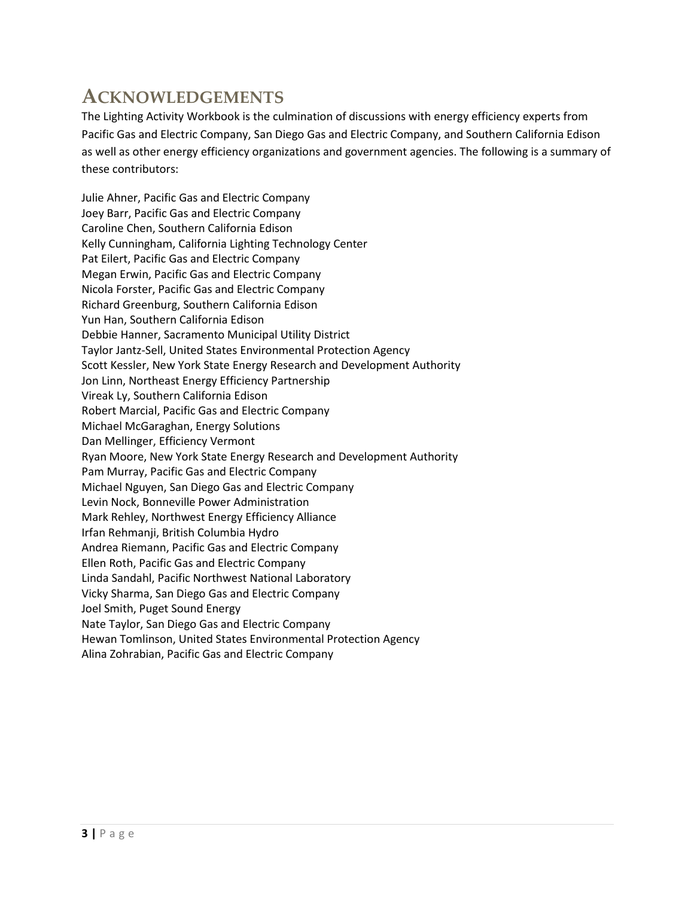## **ACKNOWLEDGEMENTS**

The Lighting Activity Workbook is the culmination of discussions with energy efficiency experts from Pacific Gas and Electric Company, San Diego Gas and Electric Company, and Southern California Edison as well as other energy efficiency organizations and government agencies. The following is a summary of these contributors:

Julie Ahner, Pacific Gas and Electric Company Joey Barr, Pacific Gas and Electric Company Caroline Chen, Southern California Edison Kelly Cunningham, California Lighting Technology Center Pat Eilert, Pacific Gas and Electric Company Megan Erwin, Pacific Gas and Electric Company Nicola Forster, Pacific Gas and Electric Company Richard Greenburg, Southern California Edison Yun Han, Southern California Edison Debbie Hanner, Sacramento Municipal Utility District Taylor Jantz-Sell, United States Environmental Protection Agency Scott Kessler, New York State Energy Research and Development Authority Jon Linn, Northeast Energy Efficiency Partnership Vireak Ly, Southern California Edison Robert Marcial, Pacific Gas and Electric Company Michael McGaraghan, Energy Solutions Dan Mellinger, Efficiency Vermont Ryan Moore, New York State Energy Research and Development Authority Pam Murray, Pacific Gas and Electric Company Michael Nguyen, San Diego Gas and Electric Company Levin Nock, Bonneville Power Administration Mark Rehley, Northwest Energy Efficiency Alliance Irfan Rehmanji, British Columbia Hydro Andrea Riemann, Pacific Gas and Electric Company Ellen Roth, Pacific Gas and Electric Company Linda Sandahl, Pacific Northwest National Laboratory Vicky Sharma, San Diego Gas and Electric Company Joel Smith, Puget Sound Energy Nate Taylor, San Diego Gas and Electric Company Hewan Tomlinson, United States Environmental Protection Agency Alina Zohrabian, Pacific Gas and Electric Company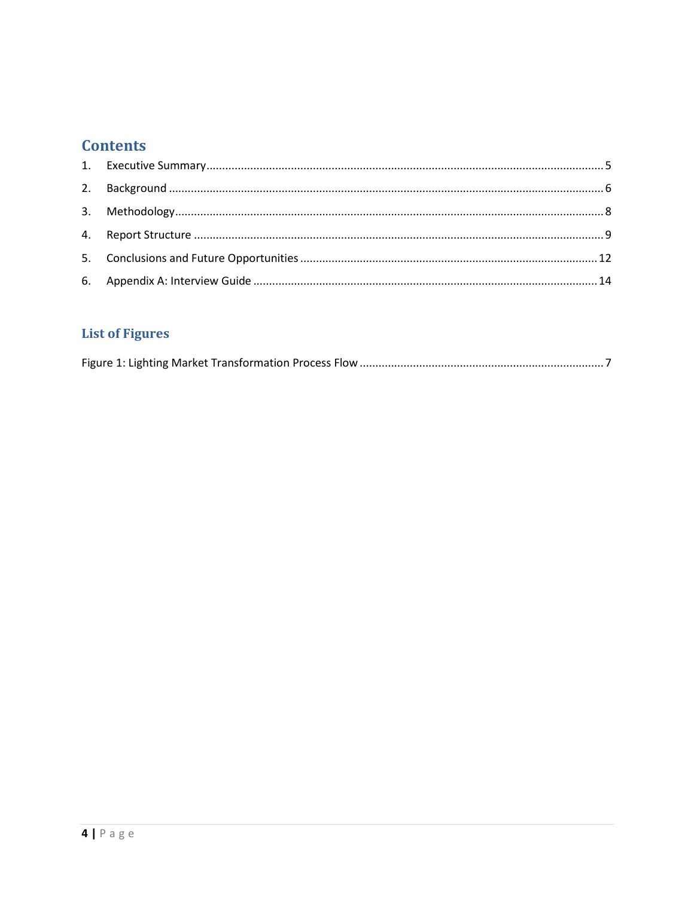## **Contents**

## **List of Figures**

|--|--|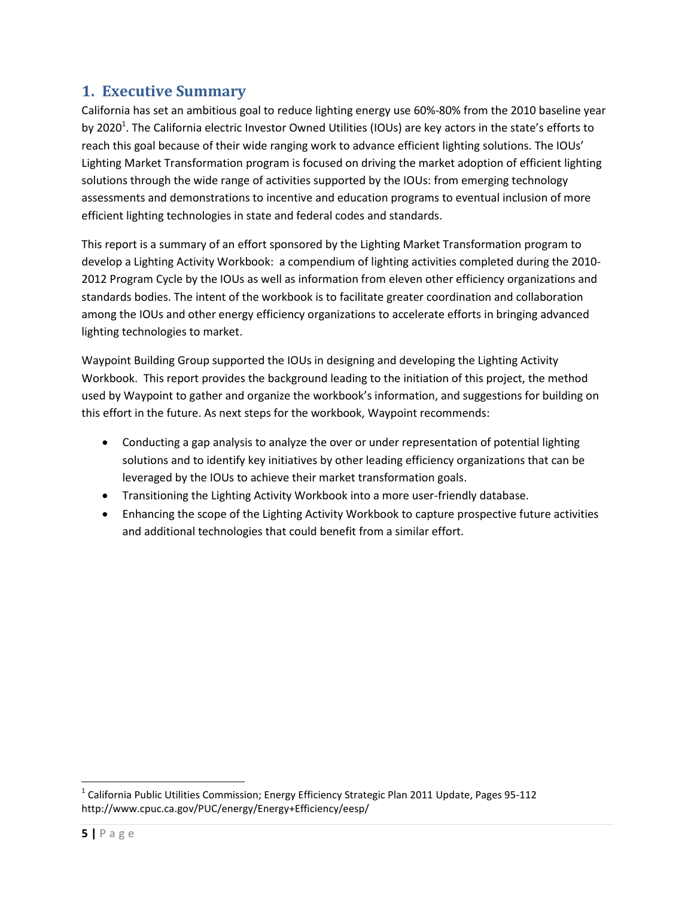## <span id="page-4-0"></span>**1. Executive Summary**

California has set an ambitious goal to reduce lighting energy use 60%-80% from the 2010 baseline year by 2020<sup>1</sup>. The California electric Investor Owned Utilities (IOUs) are key actors in the state's efforts to reach this goal because of their wide ranging work to advance efficient lighting solutions. The IOUs' Lighting Market Transformation program is focused on driving the market adoption of efficient lighting solutions through the wide range of activities supported by the IOUs: from emerging technology assessments and demonstrations to incentive and education programs to eventual inclusion of more efficient lighting technologies in state and federal codes and standards.

This report is a summary of an effort sponsored by the Lighting Market Transformation program to develop a Lighting Activity Workbook: a compendium of lighting activities completed during the 2010- 2012 Program Cycle by the IOUs as well as information from eleven other efficiency organizations and standards bodies. The intent of the workbook is to facilitate greater coordination and collaboration among the IOUs and other energy efficiency organizations to accelerate efforts in bringing advanced lighting technologies to market.

Waypoint Building Group supported the IOUs in designing and developing the Lighting Activity Workbook. This report provides the background leading to the initiation of this project, the method used by Waypoint to gather and organize the workbook's information, and suggestions for building on this effort in the future. As next steps for the workbook, Waypoint recommends:

- Conducting a gap analysis to analyze the over or under representation of potential lighting solutions and to identify key initiatives by other leading efficiency organizations that can be leveraged by the IOUs to achieve their market transformation goals.
- Transitioning the Lighting Activity Workbook into a more user-friendly database.
- Enhancing the scope of the Lighting Activity Workbook to capture prospective future activities and additional technologies that could benefit from a similar effort.

l

 $^{\text{1}}$  California Public Utilities Commission; Energy Efficiency Strategic Plan 2011 Update, Pages 95-112 http://www.cpuc.ca.gov/PUC/energy/Energy+Efficiency/eesp/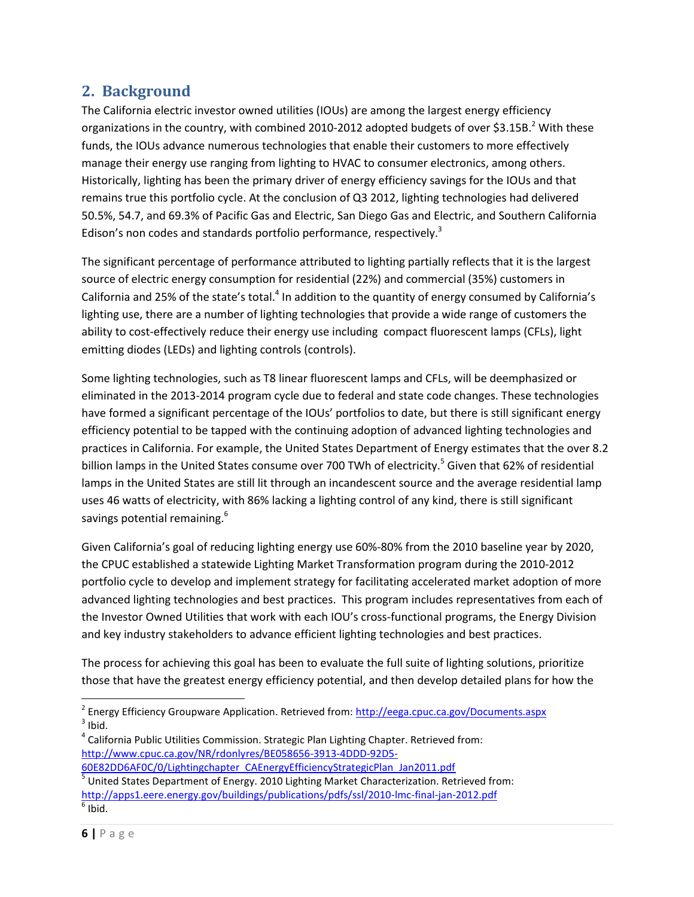## <span id="page-5-0"></span>**2. Background**

The California electric investor owned utilities (IOUs) are among the largest energy efficiency organizations in the country, with combined 2010-2012 adopted budgets of over \$3.15B.<sup>2</sup> With these funds, the IOUs advance numerous technologies that enable their customers to more effectively manage their energy use ranging from lighting to HVAC to consumer electronics, among others. Historically, lighting has been the primary driver of energy efficiency savings for the IOUs and that remains true this portfolio cycle. At the conclusion of Q3 2012, lighting technologies had delivered 50.5%, 54.7, and 69.3% of Pacific Gas and Electric, San Diego Gas and Electric, and Southern California Edison's non codes and standards portfolio performance, respectively.<sup>3</sup>

The significant percentage of performance attributed to lighting partially reflects that it is the largest source of electric energy consumption for residential (22%) and commercial (35%) customers in California and 25% of the state's total.<sup>4</sup> In addition to the quantity of energy consumed by California's lighting use, there are a number of lighting technologies that provide a wide range of customers the ability to cost-effectively reduce their energy use including compact fluorescent lamps (CFLs), light emitting diodes (LEDs) and lighting controls (controls).

Some lighting technologies, such as T8 linear fluorescent lamps and CFLs, will be deemphasized or eliminated in the 2013-2014 program cycle due to federal and state code changes. These technologies have formed a significant percentage of the IOUs' portfolios to date, but there is still significant energy efficiency potential to be tapped with the continuing adoption of advanced lighting technologies and practices in California. For example, the United States Department of Energy estimates that the over 8.2 billion lamps in the United States consume over 700 TWh of electricity.<sup>5</sup> Given that 62% of residential lamps in the United States are still lit through an incandescent source and the average residential lamp uses 46 watts of electricity, with 86% lacking a lighting control of any kind, there is still significant savings potential remaining.<sup>6</sup>

Given California's goal of reducing lighting energy use 60%-80% from the 2010 baseline year by 2020, the CPUC established a statewide Lighting Market Transformation program during the 2010-2012 portfolio cycle to develop and implement strategy for facilitating accelerated market adoption of more advanced lighting technologies and best practices. This program includes representatives from each of the Investor Owned Utilities that work with each IOU's cross-functional programs, the Energy Division and key industry stakeholders to advance efficient lighting technologies and best practices.

The process for achieving this goal has been to evaluate the full suite of lighting solutions, prioritize those that have the greatest energy efficiency potential, and then develop detailed plans for how the

 $^4$  California Public Utilities Commission. Strategic Plan Lighting Chapter. Retrieved from: [http://www.cpuc.ca.gov/NR/rdonlyres/BE058656-3913-4DDD-92D5-](http://www.cpuc.ca.gov/NR/rdonlyres/BE058656-3913-4DDD-92D5-60E82DD6AF0C/0/Lightingchapter_CAEnergyEfficiencyStrategicPlan_Jan2011.pdf)

[60E82DD6AF0C/0/Lightingchapter\\_CAEnergyEfficiencyStrategicPlan\\_Jan2011.pdf](http://www.cpuc.ca.gov/NR/rdonlyres/BE058656-3913-4DDD-92D5-60E82DD6AF0C/0/Lightingchapter_CAEnergyEfficiencyStrategicPlan_Jan2011.pdf) <sup>5</sup> United States Department of Energy. 2010 Lighting Market Characterization. Retrieved from: <http://apps1.eere.energy.gov/buildings/publications/pdfs/ssl/2010-lmc-final-jan-2012.pdf>  $<sup>6</sup>$  Ibid.</sup>

 $\overline{\phantom{a}}$ 

<sup>&</sup>lt;sup>2</sup> Energy Efficiency Groupware Application. Retrieved from: <u>http://eega.cpuc.ca.gov/Documents.aspx</u>  $3$  Ibid.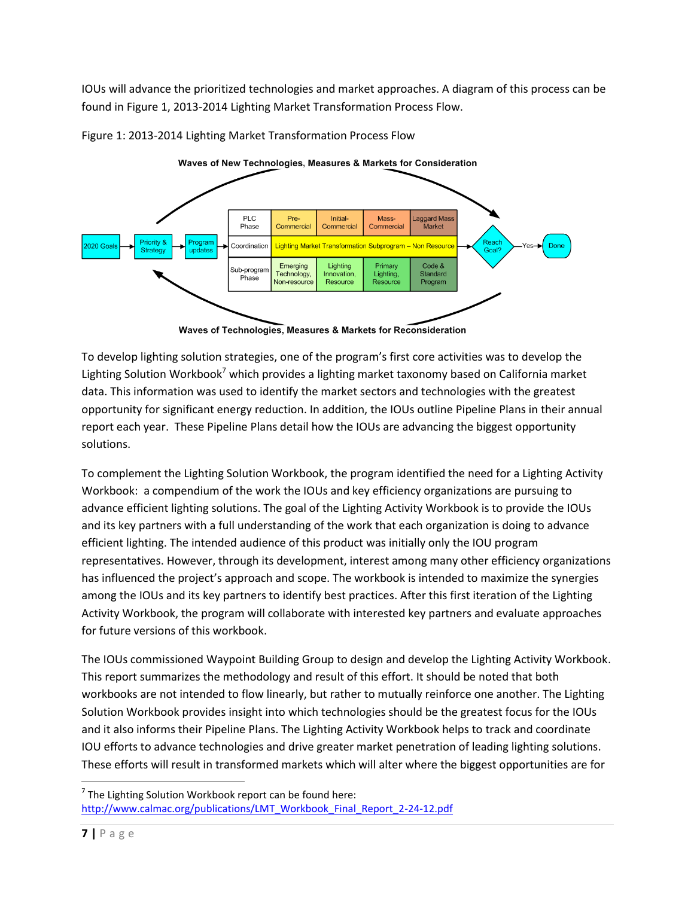IOUs will advance the prioritized technologies and market approaches. A diagram of this process can be found in Figure 1, 2013-2014 Lighting Market Transformation Process Flow.



<span id="page-6-0"></span>Figure 1: 2013-2014 Lighting Market Transformation Process Flow

To develop lighting solution strategies, one of the program's first core activities was to develop the Lighting Solution Workbook<sup>7</sup> which provides a lighting market taxonomy based on California market data. This information was used to identify the market sectors and technologies with the greatest opportunity for significant energy reduction. In addition, the IOUs outline Pipeline Plans in their annual report each year. These Pipeline Plans detail how the IOUs are advancing the biggest opportunity solutions.

To complement the Lighting Solution Workbook, the program identified the need for a Lighting Activity Workbook: a compendium of the work the IOUs and key efficiency organizations are pursuing to advance efficient lighting solutions. The goal of the Lighting Activity Workbook is to provide the IOUs and its key partners with a full understanding of the work that each organization is doing to advance efficient lighting. The intended audience of this product was initially only the IOU program representatives. However, through its development, interest among many other efficiency organizations has influenced the project's approach and scope. The workbook is intended to maximize the synergies among the IOUs and its key partners to identify best practices. After this first iteration of the Lighting Activity Workbook, the program will collaborate with interested key partners and evaluate approaches for future versions of this workbook.

The IOUs commissioned Waypoint Building Group to design and develop the Lighting Activity Workbook. This report summarizes the methodology and result of this effort. It should be noted that both workbooks are not intended to flow linearly, but rather to mutually reinforce one another. The Lighting Solution Workbook provides insight into which technologies should be the greatest focus for the IOUs and it also informs their Pipeline Plans. The Lighting Activity Workbook helps to track and coordinate IOU efforts to advance technologies and drive greater market penetration of leading lighting solutions. These efforts will result in transformed markets which will alter where the biggest opportunities are for

l

Waves of Technologies, Measures & Markets for Reconsideration

 $7$  The Lighting Solution Workbook report can be found here: [http://www.calmac.org/publications/LMT\\_Workbook\\_Final\\_Report\\_2-24-12.pdf](http://www.calmac.org/publications/LMT_Workbook_Final_Report_2-24-12.pdf)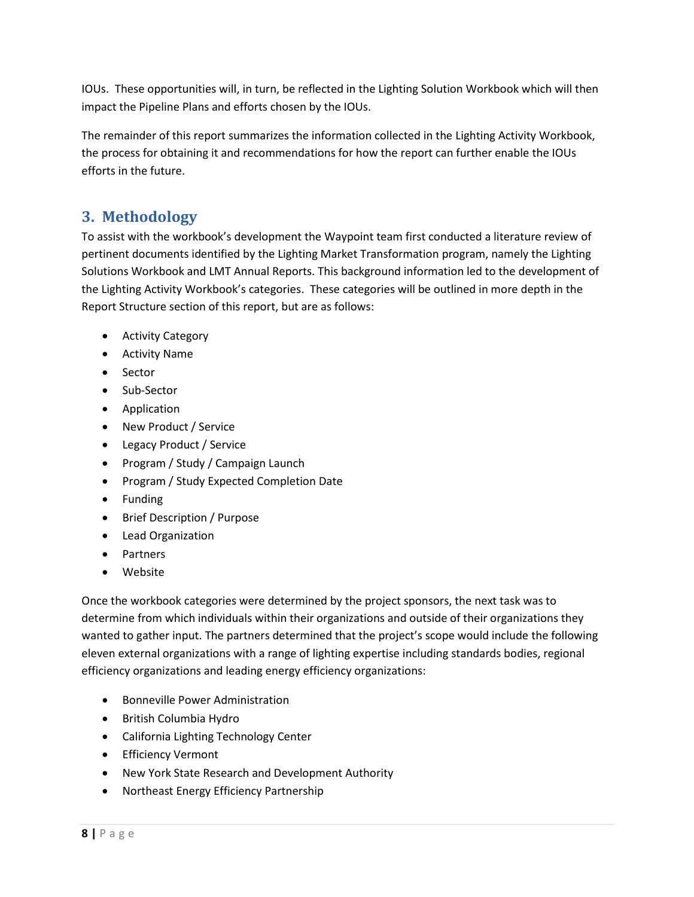IOUs. These opportunities will, in turn, be reflected in the Lighting Solution Workbook which will then impact the Pipeline Plans and efforts chosen by the IOUs.

<span id="page-7-0"></span>The remainder of this report summarizes the information collected in the Lighting Activity Workbook, the process for obtaining it and recommendations for how the report can further enable the IOUs efforts in the future.

## **3. Methodology**

To assist with the workbook's development the Waypoint team first conducted a literature review of pertinent documents identified by the Lighting Market Transformation program, namely the Lighting Solutions Workbook and LMT Annual Reports. This background information led to the development of the Lighting Activity Workbook's categories. These categories will be outlined in more depth in the Report Structure section of this report, but are as follows:

- **•** Activity Category
- Activity Name
- Sector
- Sub-Sector
- **•** Application
- New Product / Service
- Legacy Product / Service
- Program / Study / Campaign Launch
- Program / Study Expected Completion Date
- Funding
- Brief Description / Purpose
- Lead Organization
- Partners
- Website

Once the workbook categories were determined by the project sponsors, the next task was to determine from which individuals within their organizations and outside of their organizations they wanted to gather input. The partners determined that the project's scope would include the following eleven external organizations with a range of lighting expertise including standards bodies, regional efficiency organizations and leading energy efficiency organizations:

- **•** Bonneville Power Administration
- British Columbia Hydro
- California Lighting Technology Center
- **•** Efficiency Vermont
- New York State Research and Development Authority
- Northeast Energy Efficiency Partnership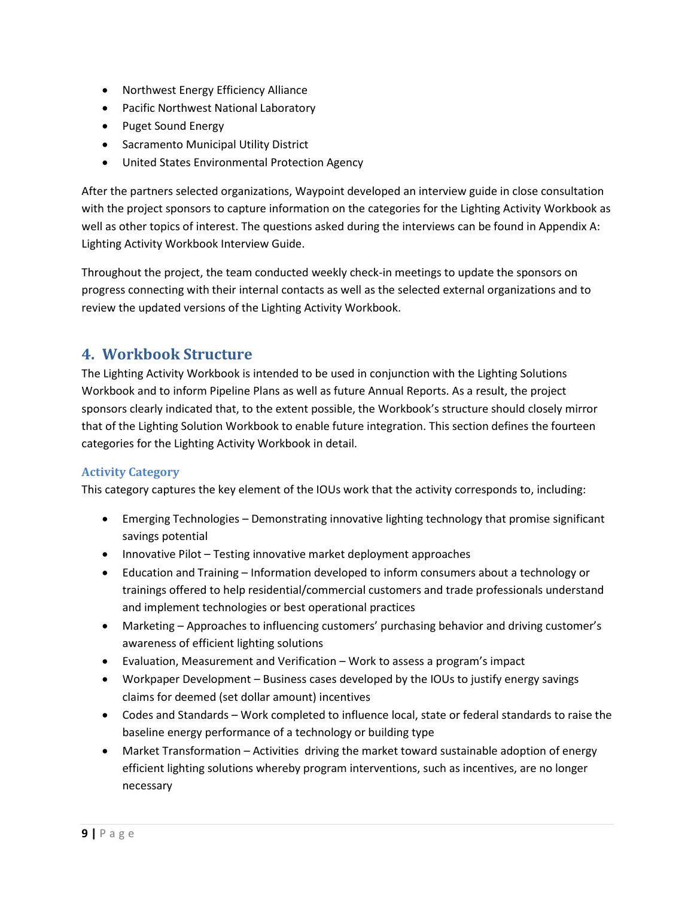- Northwest Energy Efficiency Alliance
- Pacific Northwest National Laboratory
- Puget Sound Energy
- **•** Sacramento Municipal Utility District
- United States Environmental Protection Agency

After the partners selected organizations, Waypoint developed an interview guide in close consultation with the project sponsors to capture information on the categories for the Lighting Activity Workbook as well as other topics of interest. The questions asked during the interviews can be found in Appendix A: Lighting Activity Workbook Interview Guide.

Throughout the project, the team conducted weekly check-in meetings to update the sponsors on progress connecting with their internal contacts as well as the selected external organizations and to review the updated versions of the Lighting Activity Workbook.

## <span id="page-8-0"></span>**4. Workbook Structure**

The Lighting Activity Workbook is intended to be used in conjunction with the Lighting Solutions Workbook and to inform Pipeline Plans as well as future Annual Reports. As a result, the project sponsors clearly indicated that, to the extent possible, the Workbook's structure should closely mirror that of the Lighting Solution Workbook to enable future integration. This section defines the fourteen categories for the Lighting Activity Workbook in detail.

#### **Activity Category**

This category captures the key element of the IOUs work that the activity corresponds to, including:

- Emerging Technologies Demonstrating innovative lighting technology that promise significant savings potential
- Innovative Pilot Testing innovative market deployment approaches
- Education and Training Information developed to inform consumers about a technology or trainings offered to help residential/commercial customers and trade professionals understand and implement technologies or best operational practices
- Marketing Approaches to influencing customers' purchasing behavior and driving customer's awareness of efficient lighting solutions
- Evaluation, Measurement and Verification Work to assess a program's impact
- Workpaper Development Business cases developed by the IOUs to justify energy savings claims for deemed (set dollar amount) incentives
- Codes and Standards Work completed to influence local, state or federal standards to raise the baseline energy performance of a technology or building type
- Market Transformation Activities driving the market toward sustainable adoption of energy efficient lighting solutions whereby program interventions, such as incentives, are no longer necessary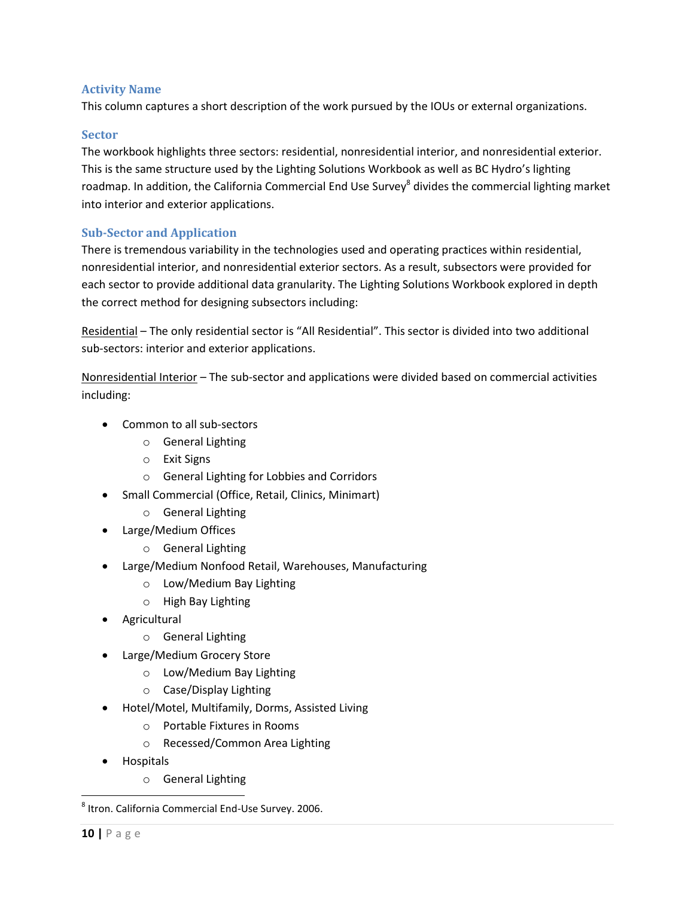#### **Activity Name**

This column captures a short description of the work pursued by the IOUs or external organizations.

#### **Sector**

The workbook highlights three sectors: residential, nonresidential interior, and nonresidential exterior. This is the same structure used by the Lighting Solutions Workbook as well as BC Hydro's lighting roadmap. In addition, the California Commercial End Use Survey<sup>8</sup> divides the commercial lighting market into interior and exterior applications.

#### **Sub-Sector and Application**

There is tremendous variability in the technologies used and operating practices within residential, nonresidential interior, and nonresidential exterior sectors. As a result, subsectors were provided for each sector to provide additional data granularity. The Lighting Solutions Workbook explored in depth the correct method for designing subsectors including:

Residential – The only residential sector is "All Residential". This sector is divided into two additional sub-sectors: interior and exterior applications.

Nonresidential Interior – The sub-sector and applications were divided based on commercial activities including:

- Common to all sub-sectors
	- o General Lighting
	- o Exit Signs
	- o General Lighting for Lobbies and Corridors
- Small Commercial (Office, Retail, Clinics, Minimart)
	- o General Lighting
- Large/Medium Offices
	- o General Lighting
- Large/Medium Nonfood Retail, Warehouses, Manufacturing
	- o Low/Medium Bay Lighting
	- o High Bay Lighting
- Agricultural
	- o General Lighting
- Large/Medium Grocery Store
	- o Low/Medium Bay Lighting
	- o Case/Display Lighting
- Hotel/Motel, Multifamily, Dorms, Assisted Living
	- o Portable Fixtures in Rooms
	- o Recessed/Common Area Lighting
- Hospitals
	- o General Lighting

 $\overline{\phantom{a}}$ 

<sup>8</sup> Itron. California Commercial End-Use Survey. 2006.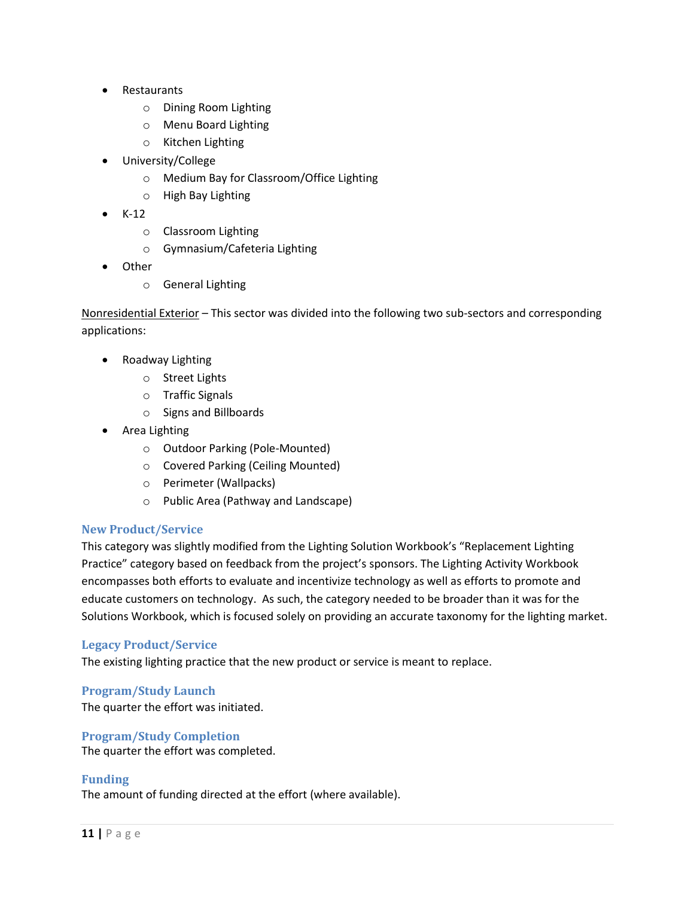- Restaurants
	- o Dining Room Lighting
	- o Menu Board Lighting
	- o Kitchen Lighting
- University/College
	- o Medium Bay for Classroom/Office Lighting
	- o High Bay Lighting
- K-12
	- o Classroom Lighting
	- o Gymnasium/Cafeteria Lighting
- **Other** 
	- o General Lighting

Nonresidential Exterior – This sector was divided into the following two sub-sectors and corresponding applications:

- Roadway Lighting
	- o Street Lights
	- o Traffic Signals
	- o Signs and Billboards
- Area Lighting
	- o Outdoor Parking (Pole-Mounted)
	- o Covered Parking (Ceiling Mounted)
	- o Perimeter (Wallpacks)
	- o Public Area (Pathway and Landscape)

#### **New Product/Service**

This category was slightly modified from the Lighting Solution Workbook's "Replacement Lighting Practice" category based on feedback from the project's sponsors. The Lighting Activity Workbook encompasses both efforts to evaluate and incentivize technology as well as efforts to promote and educate customers on technology. As such, the category needed to be broader than it was for the Solutions Workbook, which is focused solely on providing an accurate taxonomy for the lighting market.

#### **Legacy Product/Service**

The existing lighting practice that the new product or service is meant to replace.

**Program/Study Launch** The quarter the effort was initiated.

#### **Program/Study Completion**

The quarter the effort was completed.

#### **Funding**

The amount of funding directed at the effort (where available).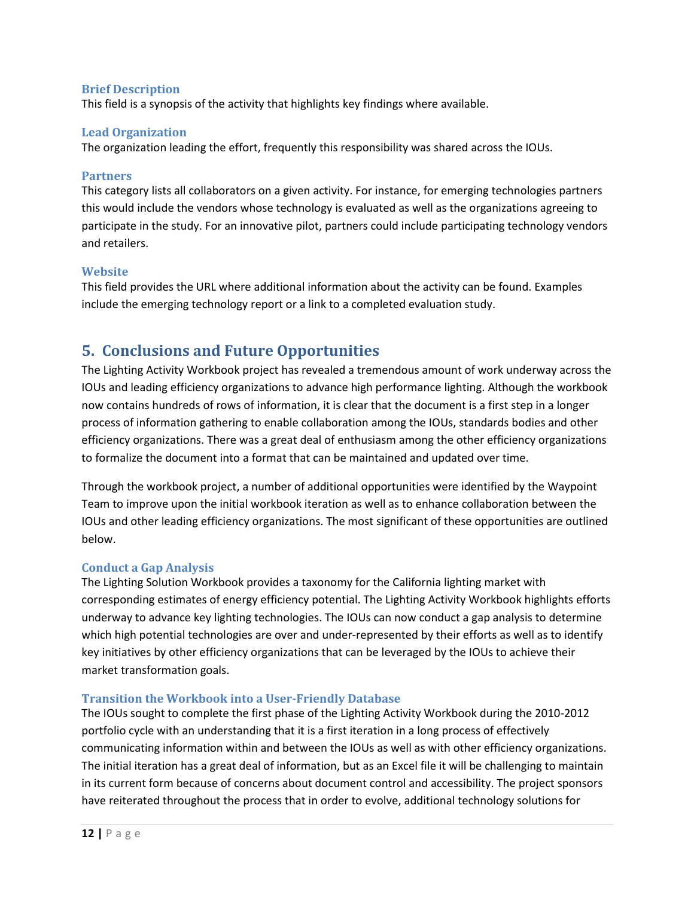#### **Brief Description**

This field is a synopsis of the activity that highlights key findings where available.

#### **Lead Organization**

The organization leading the effort, frequently this responsibility was shared across the IOUs.

#### **Partners**

This category lists all collaborators on a given activity. For instance, for emerging technologies partners this would include the vendors whose technology is evaluated as well as the organizations agreeing to participate in the study. For an innovative pilot, partners could include participating technology vendors and retailers.

#### **Website**

This field provides the URL where additional information about the activity can be found. Examples include the emerging technology report or a link to a completed evaluation study.

## <span id="page-11-0"></span>**5. Conclusions and Future Opportunities**

The Lighting Activity Workbook project has revealed a tremendous amount of work underway across the IOUs and leading efficiency organizations to advance high performance lighting. Although the workbook now contains hundreds of rows of information, it is clear that the document is a first step in a longer process of information gathering to enable collaboration among the IOUs, standards bodies and other efficiency organizations. There was a great deal of enthusiasm among the other efficiency organizations to formalize the document into a format that can be maintained and updated over time.

Through the workbook project, a number of additional opportunities were identified by the Waypoint Team to improve upon the initial workbook iteration as well as to enhance collaboration between the IOUs and other leading efficiency organizations. The most significant of these opportunities are outlined below.

#### **Conduct a Gap Analysis**

The Lighting Solution Workbook provides a taxonomy for the California lighting market with corresponding estimates of energy efficiency potential. The Lighting Activity Workbook highlights efforts underway to advance key lighting technologies. The IOUs can now conduct a gap analysis to determine which high potential technologies are over and under-represented by their efforts as well as to identify key initiatives by other efficiency organizations that can be leveraged by the IOUs to achieve their market transformation goals.

#### **Transition the Workbook into a User-Friendly Database**

The IOUs sought to complete the first phase of the Lighting Activity Workbook during the 2010-2012 portfolio cycle with an understanding that it is a first iteration in a long process of effectively communicating information within and between the IOUs as well as with other efficiency organizations. The initial iteration has a great deal of information, but as an Excel file it will be challenging to maintain in its current form because of concerns about document control and accessibility. The project sponsors have reiterated throughout the process that in order to evolve, additional technology solutions for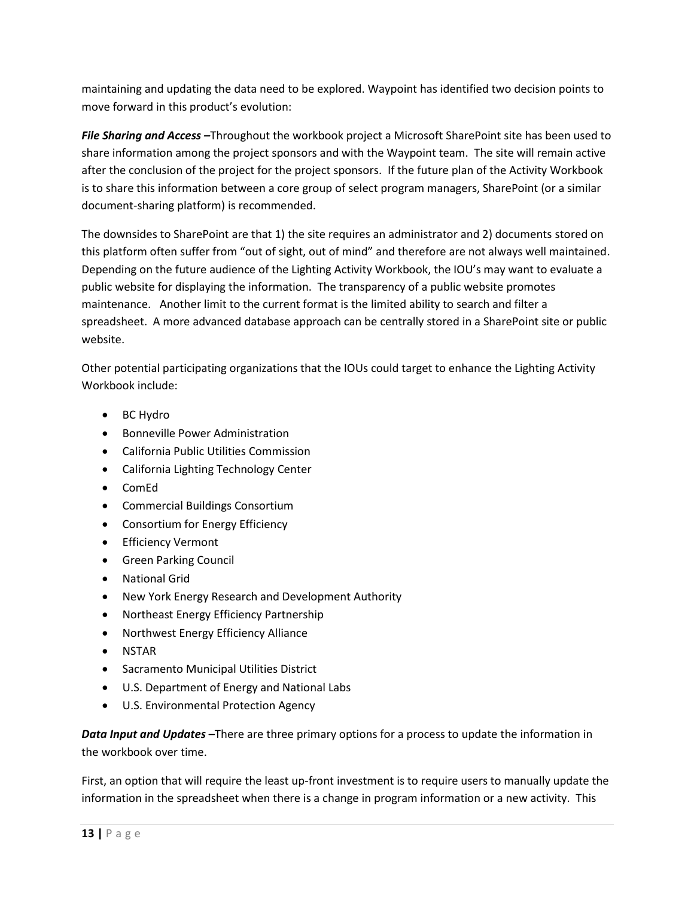maintaining and updating the data need to be explored. Waypoint has identified two decision points to move forward in this product's evolution:

*File Sharing and Access –*Throughout the workbook project a Microsoft SharePoint site has been used to share information among the project sponsors and with the Waypoint team. The site will remain active after the conclusion of the project for the project sponsors. If the future plan of the Activity Workbook is to share this information between a core group of select program managers, SharePoint (or a similar document-sharing platform) is recommended.

The downsides to SharePoint are that 1) the site requires an administrator and 2) documents stored on this platform often suffer from "out of sight, out of mind" and therefore are not always well maintained. Depending on the future audience of the Lighting Activity Workbook, the IOU's may want to evaluate a public website for displaying the information. The transparency of a public website promotes maintenance. Another limit to the current format is the limited ability to search and filter a spreadsheet. A more advanced database approach can be centrally stored in a SharePoint site or public website.

Other potential participating organizations that the IOUs could target to enhance the Lighting Activity Workbook include:

- BC Hydro
- Bonneville Power Administration
- California Public Utilities Commission
- California Lighting Technology Center
- ComEd
- Commercial Buildings Consortium
- Consortium for Energy Efficiency
- **•** Efficiency Vermont
- Green Parking Council
- National Grid
- New York Energy Research and Development Authority
- Northeast Energy Efficiency Partnership
- Northwest Energy Efficiency Alliance
- NSTAR
- Sacramento Municipal Utilities District
- U.S. Department of Energy and National Labs
- U.S. Environmental Protection Agency

*Data Input and Updates –*There are three primary options for a process to update the information in the workbook over time.

First, an option that will require the least up-front investment is to require users to manually update the information in the spreadsheet when there is a change in program information or a new activity. This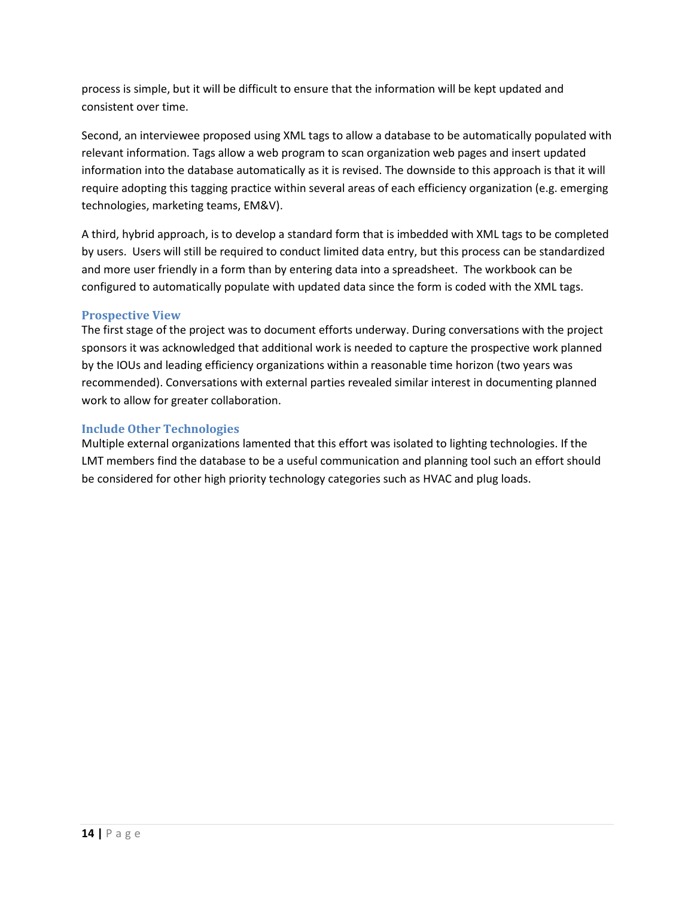process is simple, but it will be difficult to ensure that the information will be kept updated and consistent over time.

Second, an interviewee proposed using XML tags to allow a database to be automatically populated with relevant information. Tags allow a web program to scan organization web pages and insert updated information into the database automatically as it is revised. The downside to this approach is that it will require adopting this tagging practice within several areas of each efficiency organization (e.g. emerging technologies, marketing teams, EM&V).

A third, hybrid approach, is to develop a standard form that is imbedded with XML tags to be completed by users. Users will still be required to conduct limited data entry, but this process can be standardized and more user friendly in a form than by entering data into a spreadsheet. The workbook can be configured to automatically populate with updated data since the form is coded with the XML tags.

#### **Prospective View**

The first stage of the project was to document efforts underway. During conversations with the project sponsors it was acknowledged that additional work is needed to capture the prospective work planned by the IOUs and leading efficiency organizations within a reasonable time horizon (two years was recommended). Conversations with external parties revealed similar interest in documenting planned work to allow for greater collaboration.

#### **Include Other Technologies**

<span id="page-13-0"></span>Multiple external organizations lamented that this effort was isolated to lighting technologies. If the LMT members find the database to be a useful communication and planning tool such an effort should be considered for other high priority technology categories such as HVAC and plug loads.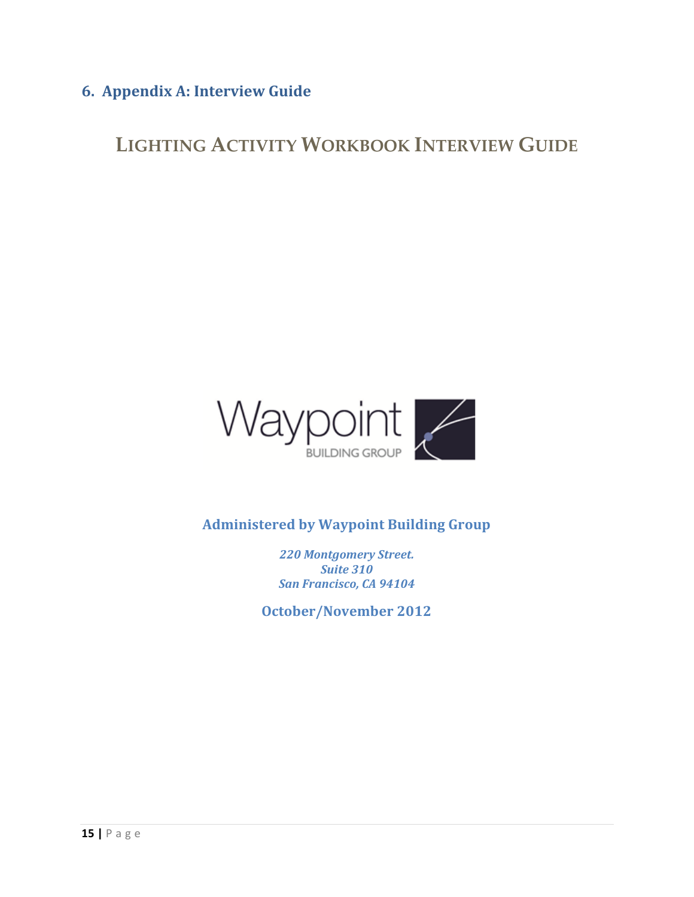## **6. Appendix A: Interview Guide**

**LIGHTING ACTIVITY WORKBOOK INTERVIEW GUIDE**



**Administered by Waypoint Building Group**

*220 Montgomery Street. Suite 310 San Francisco, CA 94104*

**October/November 2012**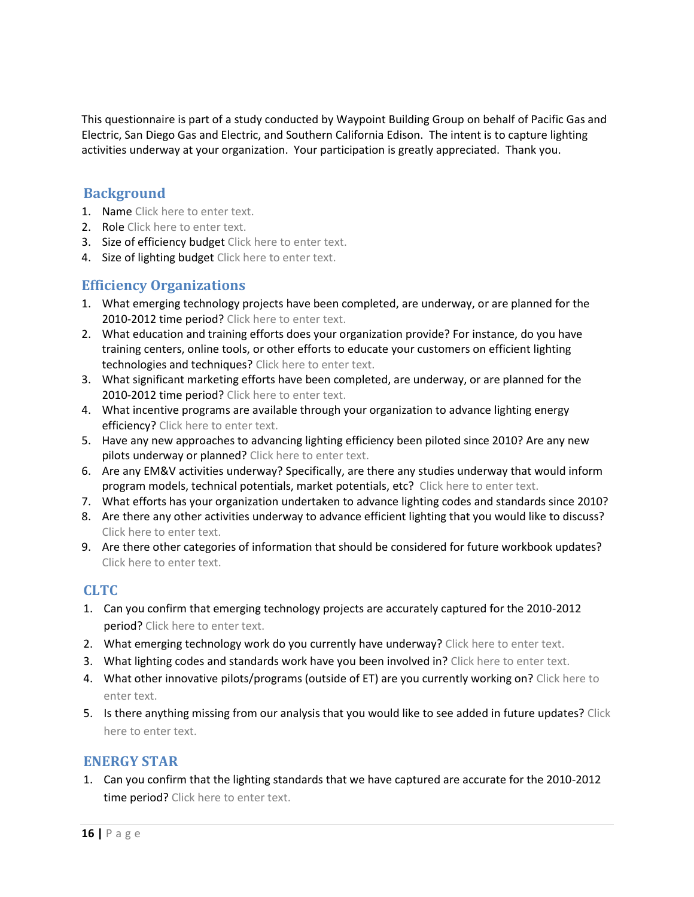This questionnaire is part of a study conducted by Waypoint Building Group on behalf of Pacific Gas and Electric, San Diego Gas and Electric, and Southern California Edison. The intent is to capture lighting activities underway at your organization. Your participation is greatly appreciated. Thank you.

### **Background**

- 1. Name Click here to enter text.
- 2. Role Click here to enter text.
- 3. Size of efficiency budget Click here to enter text.
- 4. Size of lighting budget Click here to enter text.

### **Efficiency Organizations**

- 1. What emerging technology projects have been completed, are underway, or are planned for the 2010-2012 time period? Click here to enter text.
- 2. What education and training efforts does your organization provide? For instance, do you have training centers, online tools, or other efforts to educate your customers on efficient lighting technologies and techniques? Click here to enter text.
- 3. What significant marketing efforts have been completed, are underway, or are planned for the 2010-2012 time period? Click here to enter text.
- 4. What incentive programs are available through your organization to advance lighting energy efficiency? Click here to enter text.
- 5. Have any new approaches to advancing lighting efficiency been piloted since 2010? Are any new pilots underway or planned? Click here to enter text.
- 6. Are any EM&V activities underway? Specifically, are there any studies underway that would inform program models, technical potentials, market potentials, etc? Click here to enter text.
- 7. What efforts has your organization undertaken to advance lighting codes and standards since 2010?
- 8. Are there any other activities underway to advance efficient lighting that you would like to discuss? Click here to enter text.
- 9. Are there other categories of information that should be considered for future workbook updates? Click here to enter text.

### **CLTC**

- 1. Can you confirm that emerging technology projects are accurately captured for the 2010-2012 period? Click here to enter text.
- 2. What emerging technology work do you currently have underway? Click here to enter text.
- 3. What lighting codes and standards work have you been involved in? Click here to enter text.
- 4. What other innovative pilots/programs (outside of ET) are you currently working on? Click here to enter text.
- 5. Is there anything missing from our analysis that you would like to see added in future updates? Click here to enter text.

### **ENERGY STAR**

1. Can you confirm that the lighting standards that we have captured are accurate for the 2010-2012 time period? Click here to enter text.